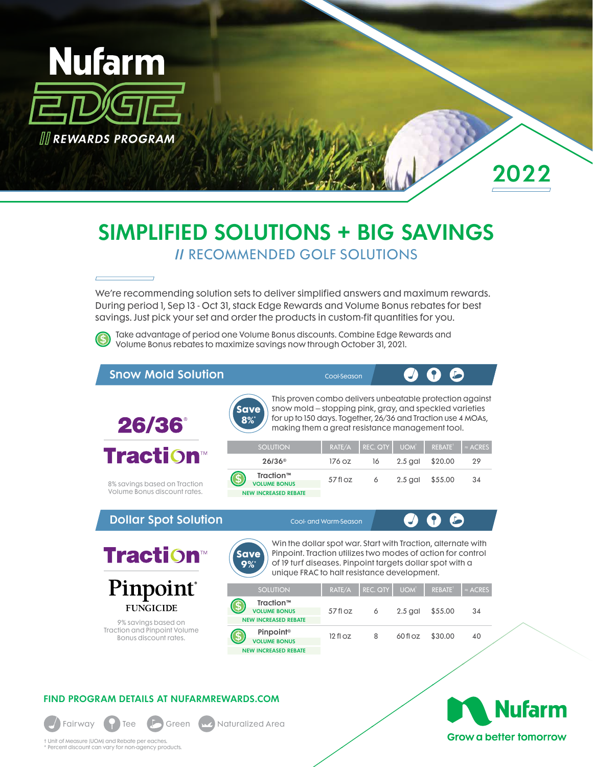

2022

# SIMPLIFIED SOLUTIONS + BIG SAVINGS // RECOMMENDED GOLF SOLUTIONS

We're recommending solution sets to deliver simplified answers and maximum rewards. During period 1, Sep 13 - Oct 31, stack Edge Rewards and Volume Bonus rebates for best savings. Just pick your set and order the products in custom-fit quantities for you.

Take advantage of period one Volume Bonus discounts. Combine Edge Rewards and Volume Bonus rebates to maximize savings now through October 31, 2021.

| <b>Snow Mold Solution</b>                                    |                                                                                                                                                                                                                                                                | Cool-Season                  |                 |                  |               |                 |
|--------------------------------------------------------------|----------------------------------------------------------------------------------------------------------------------------------------------------------------------------------------------------------------------------------------------------------------|------------------------------|-----------------|------------------|---------------|-----------------|
| 26/36                                                        | This proven combo delivers unbeatable protection against<br>snow mold – stopping pink, gray, and speckled varieties<br><b>Save</b><br>for up to 150 days. Together, 26/36 and Traction use 4 MOAs,<br>$8\%$<br>making them a great resistance management tool. |                              |                 |                  |               |                 |
|                                                              | <b>SOLUTION</b>                                                                                                                                                                                                                                                | RATE/A                       | <b>REC. QTY</b> | UOM <sup>t</sup> | <b>REBATE</b> | $\approx$ ACRES |
| <b>Traction™</b>                                             | $26/36$ <sup>®</sup>                                                                                                                                                                                                                                           | 176.07                       | 16              | $2.5$ gal        | \$20.00       | 29              |
| 8% savings based on Traction<br>Volume Bonus discount rates. | Traction™<br><b>VOLUME BONUS</b><br><b>NEW INCREASED REBATE</b>                                                                                                                                                                                                | 57floz                       | 6               | $2.5$ gal        | \$55.00       | 34              |
| <b>Dollar Spot Solution</b>                                  |                                                                                                                                                                                                                                                                | <b>Cool- and Warm-Season</b> |                 |                  |               |                 |
| <b>Traction™</b>                                             | Win the dollar spot war. Start with Traction, alternate with<br>Pinpoint. Traction utilizes two modes of action for control<br><b>Save</b><br>of 19 turf diseases. Pinpoint targets dollar spot with a<br>$9\%$<br>unique FRAC to halt resistance development. |                              |                 |                  |               |                 |
| <b>Pinpoint</b> ®                                            | <b>SOLUTION</b>                                                                                                                                                                                                                                                | RATE/A                       | <b>REC. QTY</b> | <b>UOM</b>       | <b>REBATE</b> | $\simeq$ ACRES  |
| <b>FUNGICIDE</b>                                             | Traction™<br><b>VOLUME BONUS</b><br><b>NEW INCREASED REBATE</b>                                                                                                                                                                                                | $57f$ l oz                   | 6               | $2.5$ gal        | \$55.00       | 34              |
| 9% savings based on<br><b>Traction and Pinpoint Volume</b>   | <b>Pinpoint®</b>                                                                                                                                                                                                                                               |                              |                 |                  |               |                 |

#### FIND PROGRAM DETAILS AT NUFARMREWARDS.COM



† Unit of Measure (UOM) and Rebate per eaches. \* Percent discount can vary for non-agency products.



**Grow a better tomorrow**